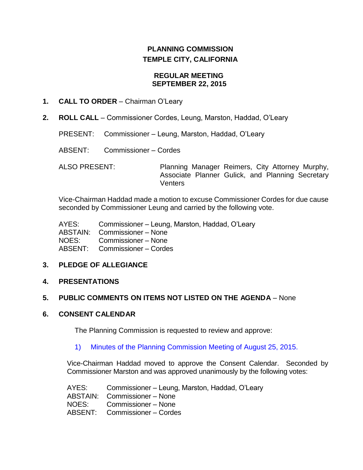# **PLANNING COMMISSION TEMPLE CITY, CALIFORNIA**

#### **REGULAR MEETING SEPTEMBER 22, 2015**

## **1. CALL TO ORDER** – Chairman O'Leary

**2. ROLL CALL** – Commissioner Cordes, Leung, Marston, Haddad, O'Leary

PRESENT: Commissioner – Leung, Marston, Haddad, O'Leary

ABSENT: Commissioner – Cordes

ALSO PRESENT: Planning Manager Reimers, City Attorney Murphy, Associate Planner Gulick, and Planning Secretary **Venters** 

Vice-Chairman Haddad made a motion to excuse Commissioner Cordes for due cause seconded by Commissioner Leung and carried by the following vote.

| Commissioner – Leung, Marston, Haddad, O'Leary |
|------------------------------------------------|
| ABSTAIN: Commissioner - None                   |
| NOES: NO<br>Commissioner - None                |
| ABSENT: Commissioner - Cordes                  |
|                                                |

# **3. PLEDGE OF ALLEGIANCE**

### **4. PRESENTATIONS**

# **5. PUBLIC COMMENTS ON ITEMS NOT LISTED ON THE AGENDA** – None

### **6. CONSENT CALENDAR**

The Planning Commission is requested to review and approve:

### 1) Minutes of the [Planning Commission Meeting](http://ca-templecity.civicplus.com/DocumentCenter/View/4546) of August 25, 2015.

Vice-Chairman Haddad moved to approve the Consent Calendar. Seconded by Commissioner Marston and was approved unanimously by the following votes:

AYES: Commissioner – Leung, Marston, Haddad, O'Leary ABSTAIN: Commissioner – None NOES: Commissioner – None ABSENT: Commissioner – Cordes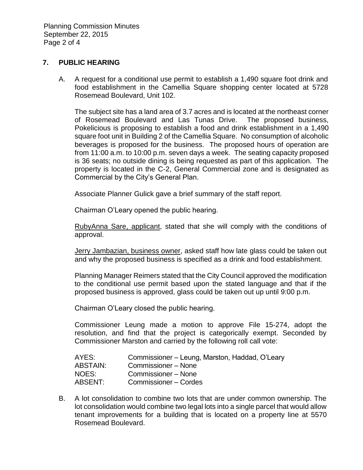Planning Commission Minutes September 22, 2015 Page 2 of 4

#### **7. PUBLIC HEARING**

A. A request for a conditional use permit to establish a 1,490 square foot drink and food establishment in the Camellia Square shopping center located at 5728 Rosemead Boulevard, Unit 102.

The subject site has a land area of 3.7 acres and is located at the northeast corner of Rosemead Boulevard and Las Tunas Drive. The proposed business, Pokelicious is proposing to establish a food and drink establishment in a 1,490 square foot unit in Building 2 of the Camellia Square. No consumption of alcoholic beverages is proposed for the business. The proposed hours of operation are from 11:00 a.m. to 10:00 p.m. seven days a week. The seating capacity proposed is 36 seats; no outside dining is being requested as part of this application. The property is located in the C-2, General Commercial zone and is designated as Commercial by the City's General Plan.

Associate Planner Gulick gave a brief summary of the staff report.

Chairman O'Leary opened the public hearing.

RubyAnna Sare, applicant, stated that she will comply with the conditions of approval.

Jerry Jambazian, business owner, asked staff how late glass could be taken out and why the proposed business is specified as a drink and food establishment.

Planning Manager Reimers stated that the City Council approved the modification to the conditional use permit based upon the stated language and that if the proposed business is approved, glass could be taken out up until 9:00 p.m.

Chairman O'Leary closed the public hearing.

Commissioner Leung made a motion to approve File 15-274, adopt the resolution, and find that the project is categorically exempt. Seconded by Commissioner Marston and carried by the following roll call vote:

| AYES:           | Commissioner – Leung, Marston, Haddad, O'Leary |
|-----------------|------------------------------------------------|
| <b>ABSTAIN:</b> | Commissioner - None                            |
| NOES:           | Commissioner - None                            |
| ABSENT:         | Commissioner – Cordes                          |

B. A lot consolidation to combine two lots that are under common ownership. The lot consolidation would combine two legal lots into a single parcel that would allow tenant improvements for a building that is located on a property line at 5570 Rosemead Boulevard.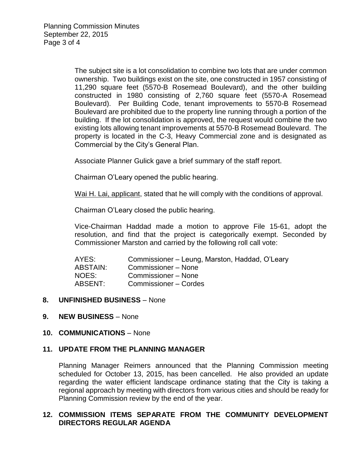The subject site is a lot consolidation to combine two lots that are under common ownership. Two buildings exist on the site, one constructed in 1957 consisting of 11,290 square feet (5570-B Rosemead Boulevard), and the other building constructed in 1980 consisting of 2,760 square feet (5570-A Rosemead Boulevard). Per Building Code, tenant improvements to 5570-B Rosemead Boulevard are prohibited due to the property line running through a portion of the building. If the lot consolidation is approved, the request would combine the two existing lots allowing tenant improvements at 5570-B Rosemead Boulevard. The property is located in the C-3, Heavy Commercial zone and is designated as Commercial by the City's General Plan.

Associate Planner Gulick gave a brief summary of the staff report.

Chairman O'Leary opened the public hearing.

Wai H. Lai, applicant, stated that he will comply with the conditions of approval.

Chairman O'Leary closed the public hearing.

Vice-Chairman Haddad made a motion to approve File 15-61, adopt the resolution, and find that the project is categorically exempt. Seconded by Commissioner Marston and carried by the following roll call vote:

| AYES:    | Commissioner – Leung, Marston, Haddad, O'Leary |
|----------|------------------------------------------------|
| ABSTAIN: | Commissioner - None                            |
| NOES:    | Commissioner - None                            |
| ABSENT:  | Commissioner - Cordes                          |

### **8. UNFINISHED BUSINESS** – None

#### **9. NEW BUSINESS** – None

#### **10. COMMUNICATIONS** – None

### **11. UPDATE FROM THE PLANNING MANAGER**

Planning Manager Reimers announced that the Planning Commission meeting scheduled for October 13, 2015, has been cancelled. He also provided an update regarding the water efficient landscape ordinance stating that the City is taking a regional approach by meeting with directors from various cities and should be ready for Planning Commission review by the end of the year.

### **12. COMMISSION ITEMS SEPARATE FROM THE COMMUNITY DEVELOPMENT DIRECTORS REGULAR AGENDA**